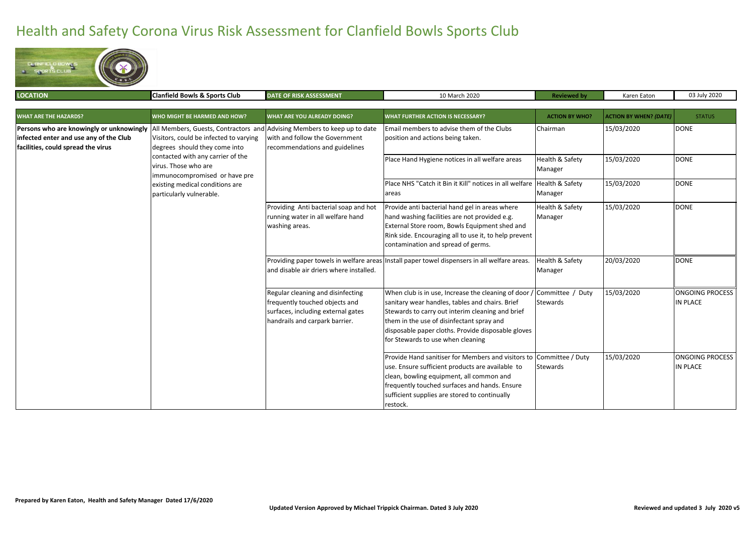## Health and Safety Corona Virus Risk Assessment for Clanfield Bowls Sports Club



| <b>LOCATION</b>                                                                                                          | Clanfield Bowls & Sports Club                                                                                                                                                                                                                                                                                    | <b>DATE OF RISK ASSESSMENT</b>                                                                                                              | 10 March 2020                                                                                                                                                                                                                                                                                                        | <b>Reviewed by</b>                    | Karen Eaton                   | 03 July 2020                              |
|--------------------------------------------------------------------------------------------------------------------------|------------------------------------------------------------------------------------------------------------------------------------------------------------------------------------------------------------------------------------------------------------------------------------------------------------------|---------------------------------------------------------------------------------------------------------------------------------------------|----------------------------------------------------------------------------------------------------------------------------------------------------------------------------------------------------------------------------------------------------------------------------------------------------------------------|---------------------------------------|-------------------------------|-------------------------------------------|
| <b>WHAT ARE THE HAZARDS?</b>                                                                                             | WHO MIGHT BE HARMED AND HOW?                                                                                                                                                                                                                                                                                     | <b>WHAT ARE YOU ALREADY DOING?</b>                                                                                                          | <b>WHAT FURTHER ACTION IS NECESSARY?</b>                                                                                                                                                                                                                                                                             | <b>ACTION BY WHO?</b>                 | <b>ACTION BY WHEN? (DATE)</b> | <b>STATUS</b>                             |
| Persons who are knowingly or unknowingly<br>infected enter and use any of the Club<br>facilities, could spread the virus | All Members, Guests, Contractors and Advising Members to keep up to date<br>Visitors, could be infected to varying<br>degrees should they come into<br>contacted with any carrier of the<br>virus. Those who are<br>immunocompromised or have pre<br>existing medical conditions are<br>particularly vulnerable. | with and follow the Government<br>recommendations and guidelines                                                                            | Email members to advise them of the Clubs<br>position and actions being taken.                                                                                                                                                                                                                                       | Chairman                              | 15/03/2020                    | <b>DONE</b>                               |
|                                                                                                                          |                                                                                                                                                                                                                                                                                                                  |                                                                                                                                             | Place Hand Hygiene notices in all welfare areas                                                                                                                                                                                                                                                                      | Health & Safety<br>Manager            | 15/03/2020                    | <b>DONE</b>                               |
|                                                                                                                          |                                                                                                                                                                                                                                                                                                                  |                                                                                                                                             | Place NHS "Catch it Bin it Kill" notices in all welfare<br>areas                                                                                                                                                                                                                                                     | <b>Health &amp; Safety</b><br>Manager | 15/03/2020                    | <b>DONE</b>                               |
|                                                                                                                          |                                                                                                                                                                                                                                                                                                                  | Providing Anti bacterial soap and hot<br>running water in all welfare hand<br>washing areas.                                                | Provide anti bacterial hand gel in areas where<br>hand washing facilities are not provided e.g.<br>External Store room, Bowls Equipment shed and<br>Rink side. Encouraging all to use it, to help prevent<br>contamination and spread of germs.                                                                      | Health & Safety<br>Manager            | 15/03/2020                    | DONE                                      |
|                                                                                                                          |                                                                                                                                                                                                                                                                                                                  | and disable air driers where installed.                                                                                                     | Providing paper towels in welfare areas Install paper towel dispensers in all welfare areas.                                                                                                                                                                                                                         | Health & Safety<br>Manager            | 20/03/2020                    | DONE                                      |
|                                                                                                                          |                                                                                                                                                                                                                                                                                                                  | Regular cleaning and disinfecting<br>frequently touched objects and<br>surfaces, including external gates<br>handrails and carpark barrier. | When club is in use, Increase the cleaning of door / Committee / Duty<br>sanitary wear handles, tables and chairs. Brief<br>Stewards to carry out interim cleaning and brief<br>them in the use of disinfectant spray and<br>disposable paper cloths. Provide disposable gloves<br>for Stewards to use when cleaning | Stewards                              | 15/03/2020                    | <b>ONGOING PROCESS</b><br><b>IN PLACE</b> |
|                                                                                                                          |                                                                                                                                                                                                                                                                                                                  |                                                                                                                                             | Provide Hand sanitiser for Members and visitors to<br>use. Ensure sufficient products are available to<br>clean, bowling equipment, all common and<br>frequently touched surfaces and hands. Ensure<br>sufficient supplies are stored to continually<br>restock.                                                     | Committee / Duty<br><b>Stewards</b>   | 15/03/2020                    | <b>ONGOING PROCESS</b><br><b>IN PLACE</b> |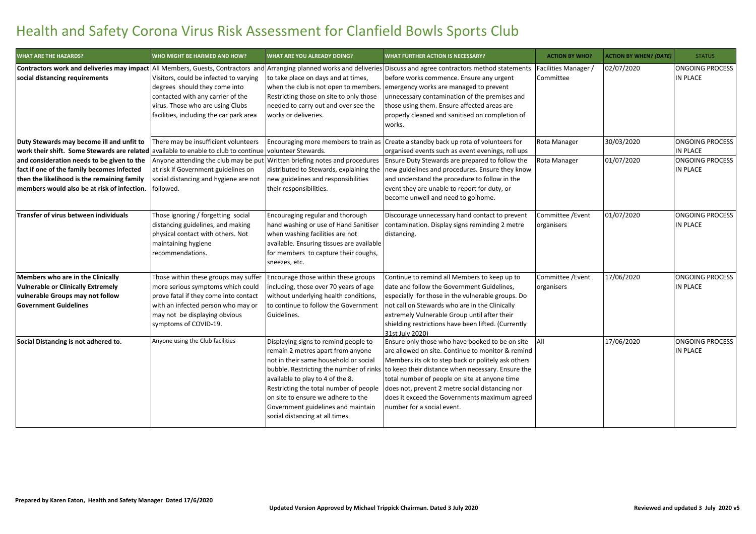## Health and Safety Corona Virus Risk Assessment for Clanfield Bowls Sports Club

| <b>WHAT ARE THE HAZARDS?</b>                | WHO MIGHT BE HARMED AND HOW?                                                                                                                                                                | <b><i>NHAT ARE YOU ALREADY DOING?</i></b>                                                                                                                                                                          | <b>WHAT FURTHER ACTION IS NECESSARY?</b>                                                                                                                                                                                                                                                                                                                                                                                                                        | <b>ACTION BY WHO?</b>           | <b>ACTION BY WHEN? (DATE)</b> | <b>STATUS</b>                      |
|---------------------------------------------|---------------------------------------------------------------------------------------------------------------------------------------------------------------------------------------------|--------------------------------------------------------------------------------------------------------------------------------------------------------------------------------------------------------------------|-----------------------------------------------------------------------------------------------------------------------------------------------------------------------------------------------------------------------------------------------------------------------------------------------------------------------------------------------------------------------------------------------------------------------------------------------------------------|---------------------------------|-------------------------------|------------------------------------|
| social distancing requirements              | Visitors, could be infected to varying<br>degrees should they come into<br>contacted with any carrier of the<br>virus. Those who are using Clubs<br>facilities, including the car park area | to take place on days and at times,<br>Restricting those on site to only those<br>needed to carry out and over see the<br>works or deliveries.                                                                     | Contractors work and deliveries may impact All Members, Guests, Contractors and Arranging planned works and deliveries Discuss and agree contractors method statements<br>before works commence. Ensure any urgent<br>when the club is not open to members. emergency works are managed to prevent<br>unnecessary contamination of the premises and<br>those using them. Ensure affected areas are<br>properly cleaned and sanitised on completion of<br>works. | Facilities Manager<br>Committee | 02/07/2020                    | <b>ONGOING PROCESS</b><br>IN PLACE |
| Duty Stewards may become ill and unfit to   | There may be insufficient volunteers                                                                                                                                                        | Encouraging more members to train as                                                                                                                                                                               | Create a standby back up rota of volunteers for                                                                                                                                                                                                                                                                                                                                                                                                                 | Rota Manager                    | 30/03/2020                    | <b>ONGOING PROCESS</b>             |
| work their shift. Some Stewards are related | available to enable to club to continue volunteer Stewards.                                                                                                                                 |                                                                                                                                                                                                                    | organised events such as event evenings, roll ups                                                                                                                                                                                                                                                                                                                                                                                                               |                                 |                               | IN PLACE                           |
| and consideration needs to be given to the  | Anyone attending the club may be put                                                                                                                                                        | Written briefing notes and procedures                                                                                                                                                                              | Ensure Duty Stewards are prepared to follow the                                                                                                                                                                                                                                                                                                                                                                                                                 | Rota Manager                    | 01/07/2020                    | <b>ONGOING PROCESS</b>             |
| fact if one of the family becomes infected  | at risk if Government guidelines on                                                                                                                                                         | distributed to Stewards, explaining the                                                                                                                                                                            | new guidelines and procedures. Ensure they know                                                                                                                                                                                                                                                                                                                                                                                                                 |                                 |                               | IN PLACE                           |
| then the likelihood is the remaining family | social distancing and hygiene are not                                                                                                                                                       | new guidelines and responsibilities                                                                                                                                                                                | and understand the procedure to follow in the                                                                                                                                                                                                                                                                                                                                                                                                                   |                                 |                               |                                    |
| members would also be at risk of infection. | followed.                                                                                                                                                                                   | their responsibilities.                                                                                                                                                                                            | event they are unable to report for duty, or                                                                                                                                                                                                                                                                                                                                                                                                                    |                                 |                               |                                    |
|                                             |                                                                                                                                                                                             |                                                                                                                                                                                                                    | become unwell and need to go home.                                                                                                                                                                                                                                                                                                                                                                                                                              |                                 |                               |                                    |
| Transfer of virus between individuals       | Those ignoring / forgetting social<br>distancing guidelines, and making<br>physical contact with others. Not<br>maintaining hygiene<br>recommendations.                                     | Encouraging regular and thorough<br>hand washing or use of Hand Sanitiser<br>when washing facilities are not<br>available. Ensuring tissues are available<br>for members to capture their coughs,<br>sneezes, etc. | Discourage unnecessary hand contact to prevent<br>contamination. Display signs reminding 2 metre<br>distancing.                                                                                                                                                                                                                                                                                                                                                 | Committee / Event<br>organisers | 01/07/2020                    | <b>ONGOING PROCESS</b><br>IN PLACE |
| Members who are in the Clinically           | Those within these groups may suffer                                                                                                                                                        | Encourage those within these groups                                                                                                                                                                                | Continue to remind all Members to keep up to                                                                                                                                                                                                                                                                                                                                                                                                                    | Committee / Event               | 17/06/2020                    | <b>ONGOING PROCESS</b>             |
| <b>Vulnerable or Clinically Extremely</b>   | more serious symptoms which could                                                                                                                                                           | including, those over 70 years of age                                                                                                                                                                              | date and follow the Government Guidelines,                                                                                                                                                                                                                                                                                                                                                                                                                      | organisers                      |                               | IN PLACE                           |
| vulnerable Groups may not follow            | prove fatal if they come into contact                                                                                                                                                       | without underlying health conditions,                                                                                                                                                                              | especially for those in the vulnerable groups. Do                                                                                                                                                                                                                                                                                                                                                                                                               |                                 |                               |                                    |
| <b>Government Guidelines</b>                | with an infected person who may or                                                                                                                                                          | to continue to follow the Government                                                                                                                                                                               | not call on Stewards who are in the Clinically                                                                                                                                                                                                                                                                                                                                                                                                                  |                                 |                               |                                    |
|                                             | may not be displaying obvious                                                                                                                                                               | Guidelines.                                                                                                                                                                                                        | extremely Vulnerable Group until after their                                                                                                                                                                                                                                                                                                                                                                                                                    |                                 |                               |                                    |
|                                             | symptoms of COVID-19.                                                                                                                                                                       |                                                                                                                                                                                                                    | shielding restrictions have been lifted. (Currently                                                                                                                                                                                                                                                                                                                                                                                                             |                                 |                               |                                    |
|                                             |                                                                                                                                                                                             |                                                                                                                                                                                                                    | 31st July 2020)                                                                                                                                                                                                                                                                                                                                                                                                                                                 |                                 |                               |                                    |
| Social Distancing is not adhered to.        | Anyone using the Club facilities                                                                                                                                                            | Displaying signs to remind people to<br>remain 2 metres apart from anyone                                                                                                                                          | Ensure only those who have booked to be on site<br>are allowed on site. Continue to monitor & remind                                                                                                                                                                                                                                                                                                                                                            | <b>All</b>                      | 17/06/2020                    | <b>ONGOING PROCESS</b><br>IN PLACE |
|                                             |                                                                                                                                                                                             | not in their same household or social                                                                                                                                                                              | Members its ok to step back or politely ask others                                                                                                                                                                                                                                                                                                                                                                                                              |                                 |                               |                                    |
|                                             |                                                                                                                                                                                             | bubble. Restricting the number of rinks                                                                                                                                                                            | to keep their distance when necessary. Ensure the                                                                                                                                                                                                                                                                                                                                                                                                               |                                 |                               |                                    |
|                                             |                                                                                                                                                                                             | available to play to 4 of the 8.<br>Restricting the total number of people                                                                                                                                         | total number of people on site at anyone time                                                                                                                                                                                                                                                                                                                                                                                                                   |                                 |                               |                                    |
|                                             |                                                                                                                                                                                             | on site to ensure we adhere to the                                                                                                                                                                                 | does not, prevent 2 metre social distancing nor                                                                                                                                                                                                                                                                                                                                                                                                                 |                                 |                               |                                    |
|                                             |                                                                                                                                                                                             | Government guidelines and maintain                                                                                                                                                                                 | does it exceed the Governments maximum agreed<br>number for a social event.                                                                                                                                                                                                                                                                                                                                                                                     |                                 |                               |                                    |
|                                             |                                                                                                                                                                                             | social distancing at all times.                                                                                                                                                                                    |                                                                                                                                                                                                                                                                                                                                                                                                                                                                 |                                 |                               |                                    |
|                                             |                                                                                                                                                                                             |                                                                                                                                                                                                                    |                                                                                                                                                                                                                                                                                                                                                                                                                                                                 |                                 |                               |                                    |